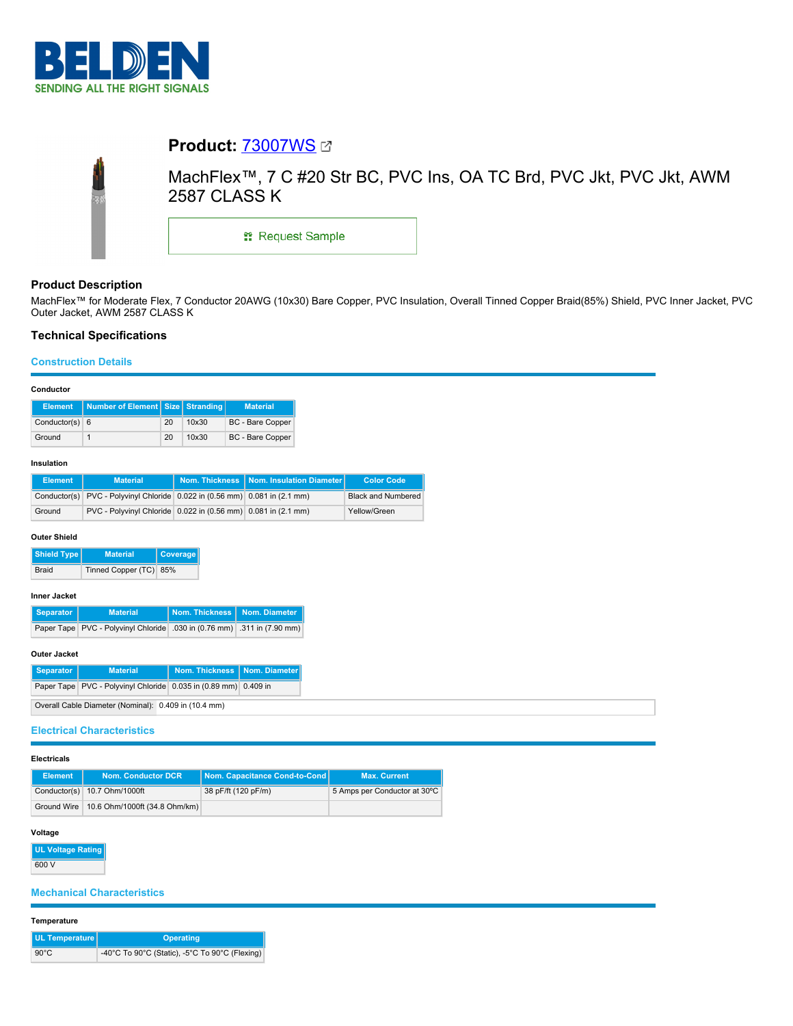

# **Product:** [73007WS](https://catalog.belden.com/index.cfm?event=pd&p=PF_73007WS&tab=downloads) MachFlex™, 7 C #20 Str BC, PVC Ins, OA TC Brd, PVC Jkt, PVC Jkt, AWM 2587 CLASS K **::** Request Sample

# **Product Description**

MachFlex™ for Moderate Flex, 7 Conductor 20AWG (10x30) Bare Copper, PVC Insulation, Overall Tinned Copper Braid(85%) Shield, PVC Inner Jacket, PVC Outer Jacket, AWM 2587 CLASS K

## **Technical Specifications**

## **Construction Details**

## **Conductor**

| Element          | Number of Element Size Stranding |    |       | <b>Material</b>         |
|------------------|----------------------------------|----|-------|-------------------------|
| Conductor(s) $6$ |                                  | 20 | 10x30 | <b>BC</b> - Bare Copper |
| Ground           |                                  | 20 | 10x30 | <b>BC</b> - Bare Copper |

#### **Insulation**

| <b>Element</b> | <b>Material</b>                                                            | Nom. Thickness   Nom. Insulation Diameter | <b>Color Code</b>         |
|----------------|----------------------------------------------------------------------------|-------------------------------------------|---------------------------|
|                | Conductor(s) PVC - Polyvinyl Chloride 0.022 in (0.56 mm) 0.081 in (2.1 mm) |                                           | <b>Black and Numbered</b> |
| Ground         | PVC - Polyvinyl Chloride 0.022 in (0.56 mm) 0.081 in (2.1 mm)              |                                           | Yellow/Green              |

## **Outer Shield**

| <b>Shield Type I</b> | <b>Material</b>        | <b>Coverage</b> |
|----------------------|------------------------|-----------------|
| Braid                | Tinned Copper (TC) 85% |                 |

## **Inner Jacket**

| Separator | <b>Material</b>                                                         | Nom. Thickness   Nom. Diameter |  |
|-----------|-------------------------------------------------------------------------|--------------------------------|--|
|           | Paper Tape PVC - Polyvinyl Chloride .030 in (0.76 mm) .311 in (7.90 mm) |                                |  |

## **Outer Jacket**

| Separator | <b>Material</b>                                                 | Nom. Thickness   Nom. Diameter |  |
|-----------|-----------------------------------------------------------------|--------------------------------|--|
|           | Paper Tape PVC - Polyvinyl Chloride 0.035 in (0.89 mm) 0.409 in |                                |  |
|           | $\cdots$ are a contracted to the contract of $\cdots$           |                                |  |

Overall Cable Diameter (Nominal): 0.409 in (10.4 mm)

## **Electrical Characteristics**

## **Electricals**

| <b>Element</b> | <b>Nom. Conductor DCR</b>                   | Nom. Capacitance Cond-to-Cond | <b>Max. Current</b>          |
|----------------|---------------------------------------------|-------------------------------|------------------------------|
|                | Conductor(s) 10.7 Ohm/1000ft                | 38 pF/ft (120 pF/m)           | 5 Amps per Conductor at 30°C |
|                | Ground Wire   10.6 Ohm/1000ft (34.8 Ohm/km) |                               |                              |

# **Voltage**

**UL Voltage Rating** 600 V

## **Mechanical Characteristics**

## **Temperature**

| UL Temperature | <b>Operating</b>                               |
|----------------|------------------------------------------------|
| $90^{\circ}$ C | -40°C To 90°C (Static), -5°C To 90°C (Flexing) |